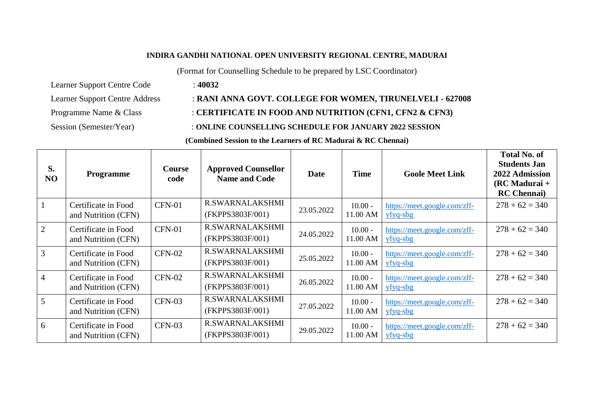#### **INDIRA GANDHI NATIONAL OPEN UNIVERSITY REGIONAL CENTRE, MADURAI**

(Format for Counselling Schedule to be prepared by LSC Coordinator)

Learner Support Centre Code : **40032**

# Learner Support Centre Address : **RANI ANNA GOVT. COLLEGE FOR WOMEN, TIRUNELVELI - 627008**

## Programme Name & Class : **CERTIFICATE IN FOOD AND NUTRITION (CFN1, CFN2 & CFN3)**

Session (Semester/Year) : **ONLINE COUNSELLING SCHEDULE FOR JANUARY 2022 SESSION**

### **(Combined Session to the Learners of RC Madurai & RC Chennai)**

| S.<br>NO       | <b>Programme</b>                           | Course<br>code | <b>Approved Counsellor</b><br><b>Name and Code</b> | <b>Date</b> | <b>Time</b>           | <b>Goole Meet Link</b>                             | <b>Total No. of</b><br><b>Students Jan</b><br>2022 Admission<br>$(RCMadurai +$<br><b>RC</b> Chennai |
|----------------|--------------------------------------------|----------------|----------------------------------------------------|-------------|-----------------------|----------------------------------------------------|-----------------------------------------------------------------------------------------------------|
|                | Certificate in Food<br>and Nutrition (CFN) | <b>CFN-01</b>  | R.SWARNALAKSHMI<br>(FKPPS3803F/001)                | 23.05.2022  | $10.00 -$<br>11.00 AM | https://meet.google.com/zff-<br>$yfyq-sbg$         | $278 + 62 = 340$                                                                                    |
| 2              | Certificate in Food<br>and Nutrition (CFN) | <b>CFN-01</b>  | R.SWARNALAKSHMI<br>(FKPPS3803F/001)                | 24.05.2022  | $10.00 -$<br>11.00 AM | https://meet.google.com/zff-<br>$yfyq-sbg$         | $278 + 62 = 340$                                                                                    |
| $\overline{3}$ | Certificate in Food<br>and Nutrition (CFN) | <b>CFN-02</b>  | R.SWARNALAKSHMI<br>(FKPPS3803F/001)                | 25.05.2022  | $10.00 -$<br>11.00 AM | https://meet.google.com/zff-<br>$yfyq-sbg$         | $278 + 62 = 340$                                                                                    |
| $\overline{4}$ | Certificate in Food<br>and Nutrition (CFN) | $CFN-02$       | R.SWARNALAKSHMI<br>(FKPPS3803F/001)                | 26.05.2022  | $10.00 -$<br>11.00 AM | https://meet.google.com/zff-<br>$yfyq-sbg$         | $278 + 62 = 340$                                                                                    |
| 5              | Certificate in Food<br>and Nutrition (CFN) | $CFN-03$       | R.SWARNALAKSHMI<br>(FKPPS3803F/001)                | 27.05.2022  | $10.00 -$<br>11.00 AM | https://meet.google.com/zff-<br>$yfyq-sbg$         | $278 + 62 = 340$                                                                                    |
| 6              | Certificate in Food<br>and Nutrition (CFN) | $CFN-03$       | R.SWARNALAKSHMI<br>(FKPPS3803F/001)                | 29.05.2022  | $10.00 -$<br>11.00 AM | https:// <u>meet.google.com/zff-</u><br>$yfyq-sbg$ | $278 + 62 = 340$                                                                                    |